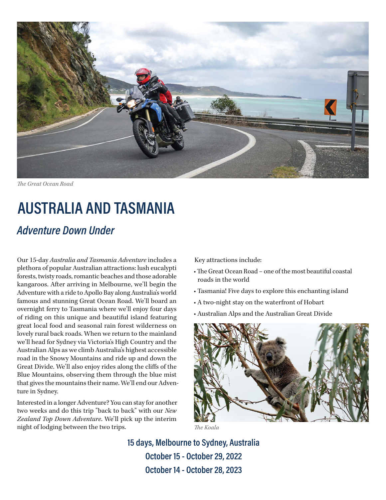

**The Great Ocean Road** 

## **AUSTRALIA AND TASMANIA**

## *Adventure Down Under*

Our 15-day *Australia and Tasmania Adventure* includes a plethora of popular Australian attractions: lush eucalypti forests, twisty roads, romantic beaches and those adorable kangaroos. After arriving in Melbourne, we'll begin the Adventure with a ride to Apollo Bay along Australia's world famous and stunning Great Ocean Road. We'll board an overnight ferry to Tasmania where we'll enjoy four days of riding on this unique and beautiful island featuring great local food and seasonal rain forest wilderness on lovely rural back roads. When we return to the mainland we'll head for Sydney via Victoria's High Country and the Australian Alps as we climb Australia's highest accessible road in the Snowy Mountains and ride up and down the Great Divide. We'll also enjoy rides along the cliffs of the Blue Mountains, observing them through the blue mist that gives the mountains their name. We'll end our Adventure in Sydney.

Interested in a longer Adventure? You can stay for another two weeks and do this trip "back to back" with our *New Zealand Top Down Adventure*. We'll pick up the interim night of lodging between the two trips.

Key attractions include:

- The Great Ocean Road one of the most beautiful coastal roads in the world
- Tasmania! Five days to explore this enchanting island
- A two-night stay on the waterfront of Hobart
- Australian Alps and the Australian Great Divide



**15 days, Melbourne to Sydney, Australia October 15 - October 29, 2022 October 14 - October 28, 2023**